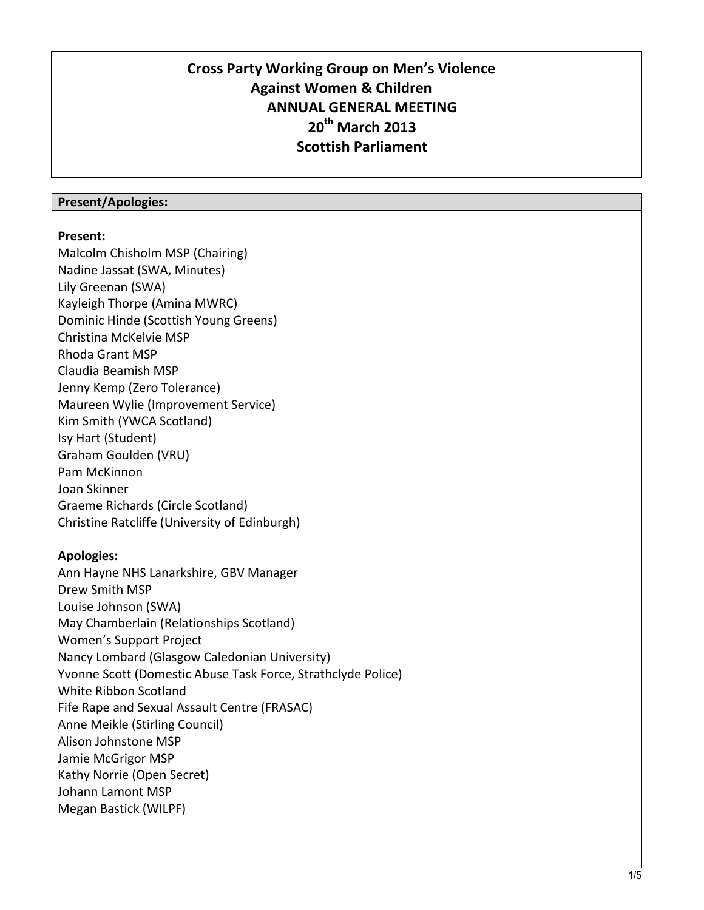## **Cross Party Working Group on Men's Violence Against Women & Children ANNUAL GENERAL MEETING 20th March 2013 Scottish Parliament**

## **Present/Apologies:**

## **Present:**

Malcolm Chisholm MSP (Chairing) Nadine Jassat (SWA, Minutes) Lily Greenan (SWA) Kayleigh Thorpe (Amina MWRC) Dominic Hinde (Scottish Young Greens) Christina McKelvie MSP Rhoda Grant MSP Claudia Beamish MSP Jenny Kemp (Zero Tolerance) Maureen Wylie (Improvement Service) Kim Smith (YWCA Scotland) Isy Hart (Student) Graham Goulden (VRU) Pam McKinnon Joan Skinner Graeme Richards (Circle Scotland) Christine Ratcliffe (University of Edinburgh)

## **Apologies:**

Ann Hayne NHS Lanarkshire, GBV Manager Drew Smith MSP Louise Johnson (SWA) May Chamberlain (Relationships Scotland) Women's Support Project Nancy Lombard (Glasgow Caledonian University) Yvonne Scott (Domestic Abuse Task Force, Strathclyde Police) White Ribbon Scotland Fife Rape and Sexual Assault Centre (FRASAC) Anne Meikle (Stirling Council) Alison Johnstone MSP Jamie McGrigor MSP Kathy Norrie (Open Secret) Johann Lamont MSP Megan Bastick (WILPF)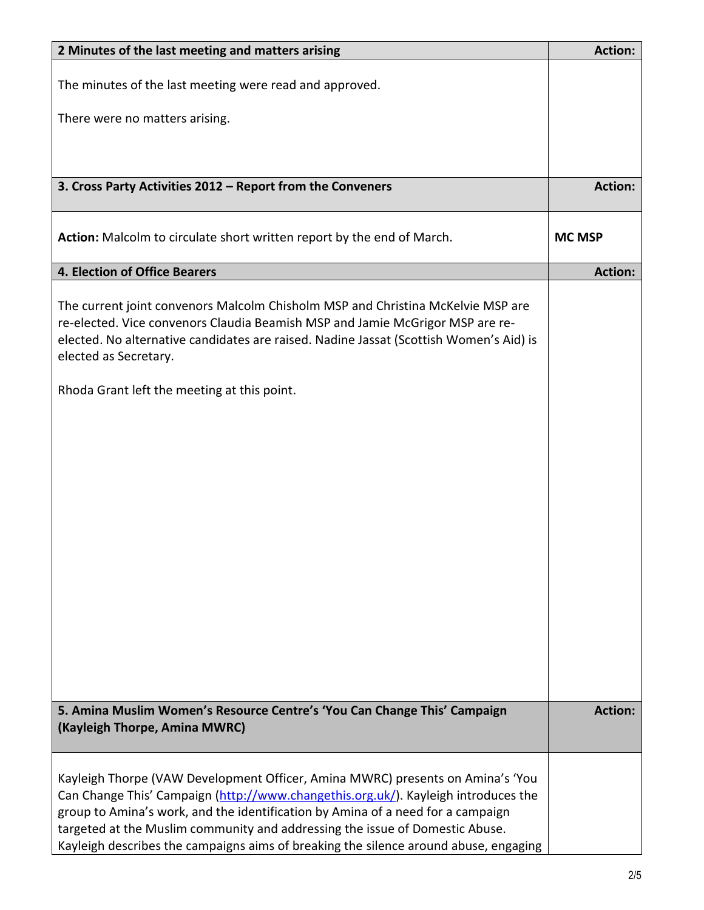| 2 Minutes of the last meeting and matters arising                                                                                                                                                                                                                                                                                                                                                                               | <b>Action:</b> |
|---------------------------------------------------------------------------------------------------------------------------------------------------------------------------------------------------------------------------------------------------------------------------------------------------------------------------------------------------------------------------------------------------------------------------------|----------------|
| The minutes of the last meeting were read and approved.                                                                                                                                                                                                                                                                                                                                                                         |                |
| There were no matters arising.                                                                                                                                                                                                                                                                                                                                                                                                  |                |
|                                                                                                                                                                                                                                                                                                                                                                                                                                 |                |
| 3. Cross Party Activities 2012 - Report from the Conveners                                                                                                                                                                                                                                                                                                                                                                      | <b>Action:</b> |
| Action: Malcolm to circulate short written report by the end of March.                                                                                                                                                                                                                                                                                                                                                          | <b>MC MSP</b>  |
| 4. Election of Office Bearers                                                                                                                                                                                                                                                                                                                                                                                                   | <b>Action:</b> |
| The current joint convenors Malcolm Chisholm MSP and Christina McKelvie MSP are<br>re-elected. Vice convenors Claudia Beamish MSP and Jamie McGrigor MSP are re-<br>elected. No alternative candidates are raised. Nadine Jassat (Scottish Women's Aid) is<br>elected as Secretary.<br>Rhoda Grant left the meeting at this point.                                                                                              |                |
|                                                                                                                                                                                                                                                                                                                                                                                                                                 |                |
| 5. Amina Muslim Women's Resource Centre's 'You Can Change This' Campaign<br>(Kayleigh Thorpe, Amina MWRC)                                                                                                                                                                                                                                                                                                                       | <b>Action:</b> |
| Kayleigh Thorpe (VAW Development Officer, Amina MWRC) presents on Amina's 'You<br>Can Change This' Campaign (http://www.changethis.org.uk/). Kayleigh introduces the<br>group to Amina's work, and the identification by Amina of a need for a campaign<br>targeted at the Muslim community and addressing the issue of Domestic Abuse.<br>Kayleigh describes the campaigns aims of breaking the silence around abuse, engaging |                |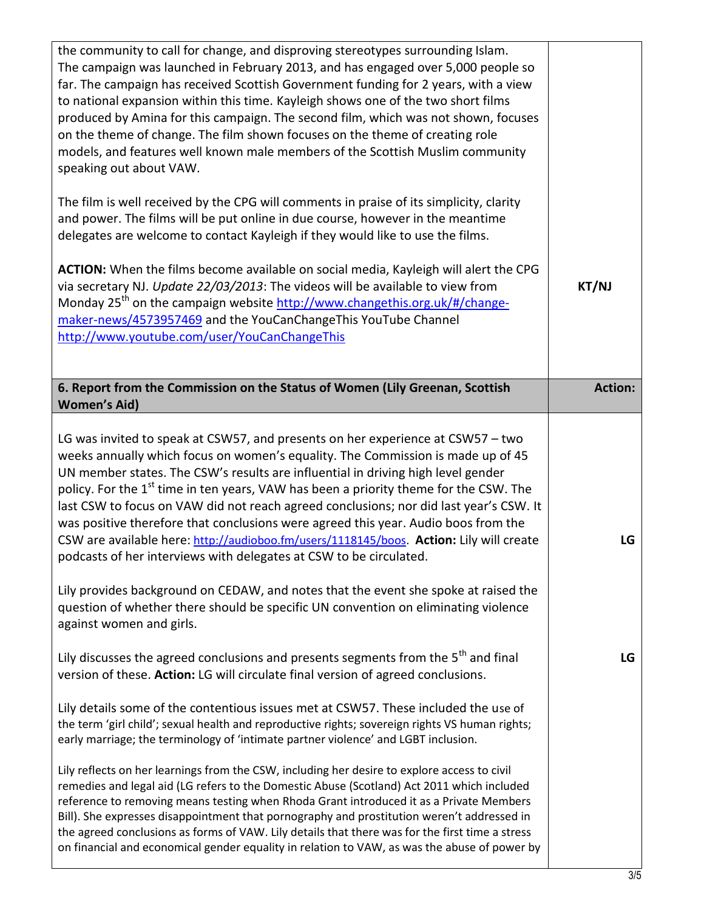| the community to call for change, and disproving stereotypes surrounding Islam.<br>The campaign was launched in February 2013, and has engaged over 5,000 people so<br>far. The campaign has received Scottish Government funding for 2 years, with a view<br>to national expansion within this time. Kayleigh shows one of the two short films<br>produced by Amina for this campaign. The second film, which was not shown, focuses<br>on the theme of change. The film shown focuses on the theme of creating role<br>models, and features well known male members of the Scottish Muslim community<br>speaking out about VAW.<br>The film is well received by the CPG will comments in praise of its simplicity, clarity<br>and power. The films will be put online in due course, however in the meantime<br>delegates are welcome to contact Kayleigh if they would like to use the films.<br>ACTION: When the films become available on social media, Kayleigh will alert the CPG<br>via secretary NJ. Update 22/03/2013: The videos will be available to view from<br>Monday 25 <sup>th</sup> on the campaign website http://www.changethis.org.uk/#/change-<br>maker-news/4573957469 and the YouCanChangeThis YouTube Channel<br>http://www.youtube.com/user/YouCanChangeThis | KT/NJ          |
|----------------------------------------------------------------------------------------------------------------------------------------------------------------------------------------------------------------------------------------------------------------------------------------------------------------------------------------------------------------------------------------------------------------------------------------------------------------------------------------------------------------------------------------------------------------------------------------------------------------------------------------------------------------------------------------------------------------------------------------------------------------------------------------------------------------------------------------------------------------------------------------------------------------------------------------------------------------------------------------------------------------------------------------------------------------------------------------------------------------------------------------------------------------------------------------------------------------------------------------------------------------------------------------|----------------|
| 6. Report from the Commission on the Status of Women (Lily Greenan, Scottish<br><b>Women's Aid)</b>                                                                                                                                                                                                                                                                                                                                                                                                                                                                                                                                                                                                                                                                                                                                                                                                                                                                                                                                                                                                                                                                                                                                                                                    | <b>Action:</b> |
| LG was invited to speak at CSW57, and presents on her experience at CSW57 - two<br>weeks annually which focus on women's equality. The Commission is made up of 45<br>UN member states. The CSW's results are influential in driving high level gender<br>policy. For the 1 <sup>st</sup> time in ten years, VAW has been a priority theme for the CSW. The<br>last CSW to focus on VAW did not reach agreed conclusions; nor did last year's CSW. It<br>was positive therefore that conclusions were agreed this year. Audio boos from the<br>CSW are available here: http://audioboo.fm/users/1118145/boos. Action: Lily will create<br>podcasts of her interviews with delegates at CSW to be circulated.                                                                                                                                                                                                                                                                                                                                                                                                                                                                                                                                                                           | LG             |
| Lily provides background on CEDAW, and notes that the event she spoke at raised the<br>question of whether there should be specific UN convention on eliminating violence<br>against women and girls.                                                                                                                                                                                                                                                                                                                                                                                                                                                                                                                                                                                                                                                                                                                                                                                                                                                                                                                                                                                                                                                                                  |                |
| Lily discusses the agreed conclusions and presents segments from the 5 <sup>th</sup> and final<br>version of these. Action: LG will circulate final version of agreed conclusions.                                                                                                                                                                                                                                                                                                                                                                                                                                                                                                                                                                                                                                                                                                                                                                                                                                                                                                                                                                                                                                                                                                     | LG             |
| Lily details some of the contentious issues met at CSW57. These included the use of<br>the term 'girl child'; sexual health and reproductive rights; sovereign rights VS human rights;<br>early marriage; the terminology of 'intimate partner violence' and LGBT inclusion.                                                                                                                                                                                                                                                                                                                                                                                                                                                                                                                                                                                                                                                                                                                                                                                                                                                                                                                                                                                                           |                |
| Lily reflects on her learnings from the CSW, including her desire to explore access to civil<br>remedies and legal aid (LG refers to the Domestic Abuse (Scotland) Act 2011 which included<br>reference to removing means testing when Rhoda Grant introduced it as a Private Members<br>Bill). She expresses disappointment that pornography and prostitution weren't addressed in<br>the agreed conclusions as forms of VAW. Lily details that there was for the first time a stress<br>on financial and economical gender equality in relation to VAW, as was the abuse of power by                                                                                                                                                                                                                                                                                                                                                                                                                                                                                                                                                                                                                                                                                                 |                |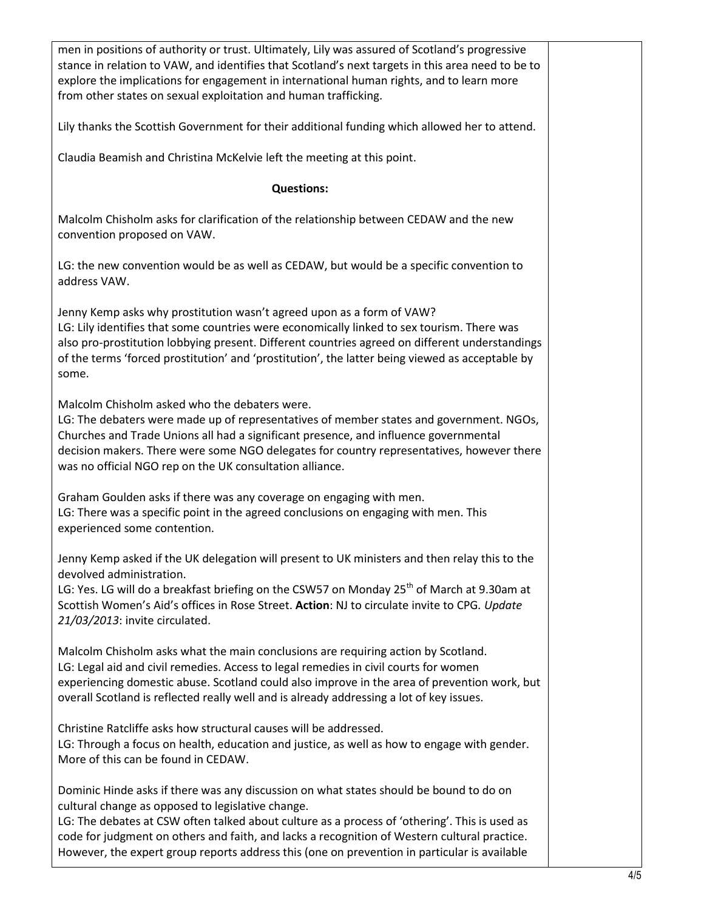| men in positions of authority or trust. Ultimately, Lily was assured of Scotland's progressive<br>stance in relation to VAW, and identifies that Scotland's next targets in this area need to be to<br>explore the implications for engagement in international human rights, and to learn more<br>from other states on sexual exploitation and human trafficking.                                                                           |  |
|----------------------------------------------------------------------------------------------------------------------------------------------------------------------------------------------------------------------------------------------------------------------------------------------------------------------------------------------------------------------------------------------------------------------------------------------|--|
| Lily thanks the Scottish Government for their additional funding which allowed her to attend.                                                                                                                                                                                                                                                                                                                                                |  |
| Claudia Beamish and Christina McKelvie left the meeting at this point.                                                                                                                                                                                                                                                                                                                                                                       |  |
| <b>Questions:</b>                                                                                                                                                                                                                                                                                                                                                                                                                            |  |
| Malcolm Chisholm asks for clarification of the relationship between CEDAW and the new<br>convention proposed on VAW.                                                                                                                                                                                                                                                                                                                         |  |
| LG: the new convention would be as well as CEDAW, but would be a specific convention to<br>address VAW.                                                                                                                                                                                                                                                                                                                                      |  |
| Jenny Kemp asks why prostitution wasn't agreed upon as a form of VAW?<br>LG: Lily identifies that some countries were economically linked to sex tourism. There was<br>also pro-prostitution lobbying present. Different countries agreed on different understandings<br>of the terms 'forced prostitution' and 'prostitution', the latter being viewed as acceptable by<br>some.                                                            |  |
| Malcolm Chisholm asked who the debaters were.<br>LG: The debaters were made up of representatives of member states and government. NGOs,<br>Churches and Trade Unions all had a significant presence, and influence governmental<br>decision makers. There were some NGO delegates for country representatives, however there<br>was no official NGO rep on the UK consultation alliance.                                                    |  |
| Graham Goulden asks if there was any coverage on engaging with men.<br>LG: There was a specific point in the agreed conclusions on engaging with men. This<br>experienced some contention.                                                                                                                                                                                                                                                   |  |
| Jenny Kemp asked if the UK delegation will present to UK ministers and then relay this to the<br>devolved administration.<br>LG: Yes. LG will do a breakfast briefing on the CSW57 on Monday 25 <sup>th</sup> of March at 9.30am at<br>Scottish Women's Aid's offices in Rose Street. Action: NJ to circulate invite to CPG. Update<br>21/03/2013: invite circulated.                                                                        |  |
| Malcolm Chisholm asks what the main conclusions are requiring action by Scotland.<br>LG: Legal aid and civil remedies. Access to legal remedies in civil courts for women<br>experiencing domestic abuse. Scotland could also improve in the area of prevention work, but<br>overall Scotland is reflected really well and is already addressing a lot of key issues.                                                                        |  |
| Christine Ratcliffe asks how structural causes will be addressed.<br>LG: Through a focus on health, education and justice, as well as how to engage with gender.<br>More of this can be found in CEDAW.                                                                                                                                                                                                                                      |  |
| Dominic Hinde asks if there was any discussion on what states should be bound to do on<br>cultural change as opposed to legislative change.<br>LG: The debates at CSW often talked about culture as a process of 'othering'. This is used as<br>code for judgment on others and faith, and lacks a recognition of Western cultural practice.<br>However, the expert group reports address this (one on prevention in particular is available |  |